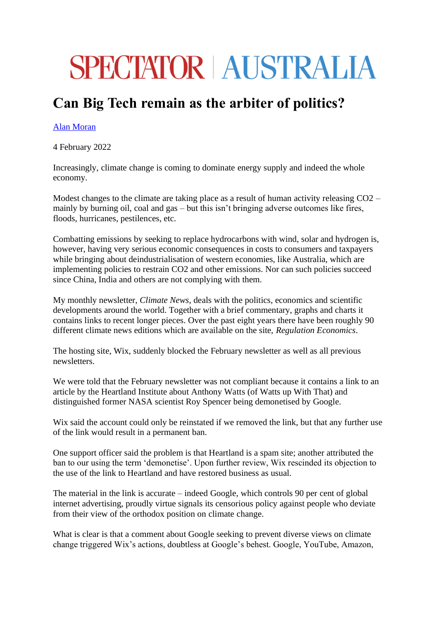## **SPECTATOR | AUSTRALIA**

## **Can Big Tech remain as the arbiter of politics?**

## [Alan Moran](https://www.spectator.com.au/author/alanmoran/)

4 February 2022

Increasingly, climate change is coming to dominate energy supply and indeed the whole economy.

Modest changes to the climate are taking place as a result of human activity releasing CO2 – mainly by burning oil, coal and gas – but this isn't bringing adverse outcomes like fires, floods, hurricanes, pestilences, etc.

Combatting emissions by seeking to replace hydrocarbons with wind, solar and hydrogen is, however, having very serious economic consequences in costs to consumers and taxpayers while bringing about deindustrialisation of western economies, like Australia, which are implementing policies to restrain CO2 and other emissions. Nor can such policies succeed since China, India and others are not complying with them.

My monthly newsletter, *Climate News*, deals with the politics, economics and scientific developments around the world. Together with a brief commentary, graphs and charts it contains links to recent longer pieces. Over the past eight years there have been roughly 90 different climate news editions which are available on the site, *Regulation Economics*.

The hosting site, Wix, suddenly blocked the February newsletter as well as all previous newsletters.

We were told that the February newsletter was not compliant because it contains a link to an article by the Heartland Institute about Anthony Watts (of Watts up With That) and distinguished former NASA scientist Roy Spencer being demonetised by Google.

Wix said the account could only be reinstated if we removed the link, but that any further use of the link would result in a permanent ban.

One support officer said the problem is that Heartland is a spam site; another attributed the ban to our using the term 'demonetise'. Upon further review, Wix rescinded its objection to the use of the link to Heartland and have restored business as usual.

The material in the link is accurate – indeed Google, which controls 90 per cent of global internet advertising, proudly virtue signals its censorious policy against people who deviate from their view of the orthodox position on climate change.

What is clear is that a comment about Google seeking to prevent diverse views on climate change triggered Wix's actions, doubtless at Google's behest. Google, YouTube, Amazon,